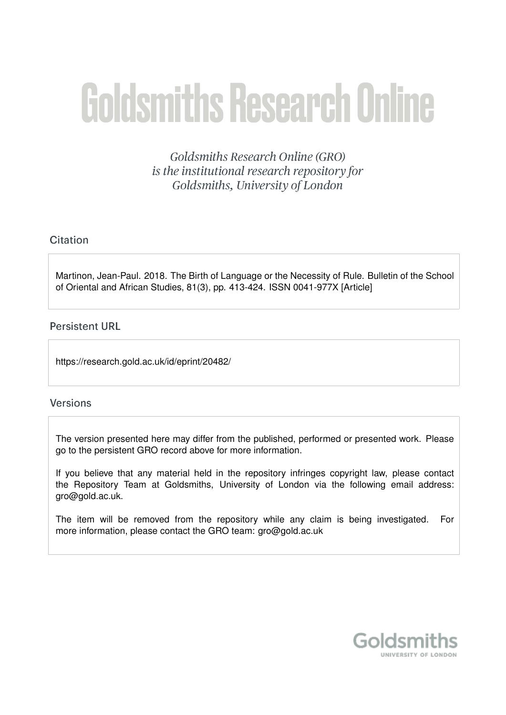# **Goldsmiths Research Online**

Goldsmiths Research Online (GRO) is the institutional research repository for Goldsmiths, University of London

### Citation

Martinon, Jean-Paul. 2018. The Birth of Language or the Necessity of Rule. Bulletin of the School of Oriental and African Studies, 81(3), pp. 413-424. ISSN 0041-977X [Article]

#### **Persistent URL**

https://research.gold.ac.uk/id/eprint/20482/

#### **Versions**

The version presented here may differ from the published, performed or presented work. Please go to the persistent GRO record above for more information.

If you believe that any material held in the repository infringes copyright law, please contact the Repository Team at Goldsmiths, University of London via the following email address: gro@gold.ac.uk.

The item will be removed from the repository while any claim is being investigated. For more information, please contact the GRO team: gro@gold.ac.uk

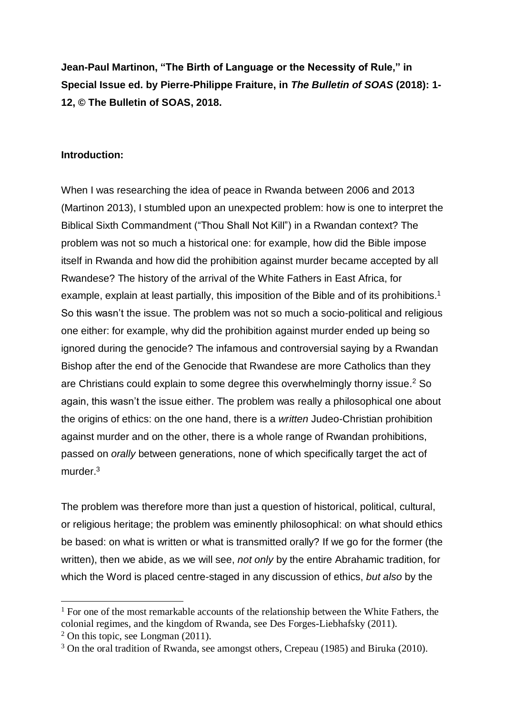**Jean-Paul Martinon, "The Birth of Language or the Necessity of Rule," in Special Issue ed. by Pierre-Philippe Fraiture, in** *The Bulletin of SOAS* **(2018): 1- 12, © The Bulletin of SOAS, 2018.**

#### **Introduction:**

When I was researching the idea of peace in Rwanda between 2006 and 2013 (Martinon 2013), I stumbled upon an unexpected problem: how is one to interpret the Biblical Sixth Commandment ("Thou Shall Not Kill") in a Rwandan context? The problem was not so much a historical one: for example, how did the Bible impose itself in Rwanda and how did the prohibition against murder became accepted by all Rwandese? The history of the arrival of the White Fathers in East Africa, for example, explain at least partially, this imposition of the Bible and of its prohibitions.<sup>1</sup> So this wasn't the issue. The problem was not so much a socio-political and religious one either: for example, why did the prohibition against murder ended up being so ignored during the genocide? The infamous and controversial saying by a Rwandan Bishop after the end of the Genocide that Rwandese are more Catholics than they are Christians could explain to some degree this overwhelmingly thorny issue. <sup>2</sup> So again, this wasn't the issue either. The problem was really a philosophical one about the origins of ethics: on the one hand, there is a *written* Judeo-Christian prohibition against murder and on the other, there is a whole range of Rwandan prohibitions, passed on *orally* between generations, none of which specifically target the act of murder.<sup>3</sup>

The problem was therefore more than just a question of historical, political, cultural, or religious heritage; the problem was eminently philosophical: on what should ethics be based: on what is written or what is transmitted orally? If we go for the former (the written), then we abide, as we will see, *not only* by the entire Abrahamic tradition, for which the Word is placed centre-staged in any discussion of ethics, *but also* by the

 $1$  For one of the most remarkable accounts of the relationship between the White Fathers, the colonial regimes, and the kingdom of Rwanda, see Des Forges-Liebhafsky (2011).

 $2$  On this topic, see Longman (2011).

<sup>3</sup> On the oral tradition of Rwanda, see amongst others, Crepeau (1985) and Biruka (2010).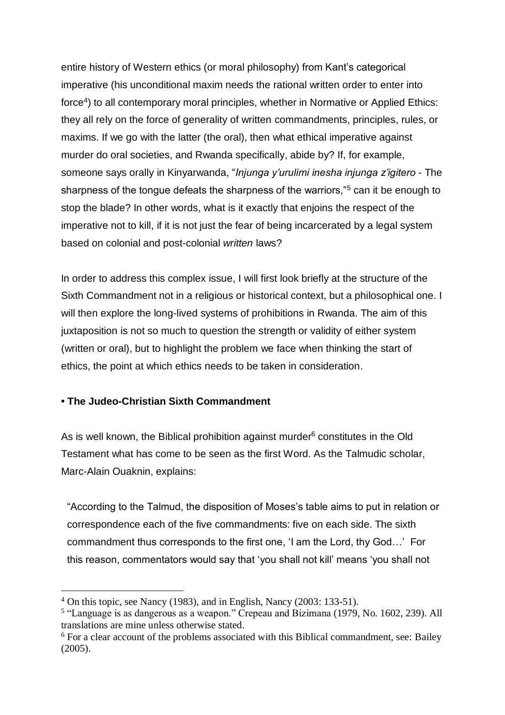entire history of Western ethics (or moral philosophy) from Kant's categorical imperative (his unconditional maxim needs the rational written order to enter into force<sup>4</sup>) to all contemporary moral principles, whether in Normative or Applied Ethics: they all rely on the force of generality of written commandments, principles, rules, or maxims. If we go with the latter (the oral), then what ethical imperative against murder do oral societies, and Rwanda specifically, abide by? If, for example, someone says orally in Kinyarwanda, "*Injunga y'urulimi inesha injunga z'igitero* - The sharpness of the tongue defeats the sharpness of the warriors,"<sup>5</sup> can it be enough to stop the blade? In other words, what is it exactly that enjoins the respect of the imperative not to kill, if it is not just the fear of being incarcerated by a legal system based on colonial and post-colonial *written* laws?

In order to address this complex issue, I will first look briefly at the structure of the Sixth Commandment not in a religious or historical context, but a philosophical one. I will then explore the long-lived systems of prohibitions in Rwanda. The aim of this juxtaposition is not so much to question the strength or validity of either system (written or oral), but to highlight the problem we face when thinking the start of ethics, the point at which ethics needs to be taken in consideration.

## **• The Judeo-Christian Sixth Commandment**

 $\overline{a}$ 

As is well known, the Biblical prohibition against murder $6$  constitutes in the Old Testament what has come to be seen as the first Word. As the Talmudic scholar, Marc-Alain Ouaknin, explains:

"According to the Talmud, the disposition of Moses's table aims to put in relation or correspondence each of the five commandments: five on each side. The sixth commandment thus corresponds to the first one, 'I am the Lord, thy God…' For this reason, commentators would say that 'you shall not kill' means 'you shall not

<sup>4</sup> On this topic, see Nancy (1983), and in English, Nancy (2003: 133-51).

<sup>&</sup>lt;sup>5</sup> "Language is as dangerous as a weapon." Crepeau and Bizimana (1979, No. 1602, 239). All translations are mine unless otherwise stated.

<sup>6</sup> For a clear account of the problems associated with this Biblical commandment, see: Bailey (2005).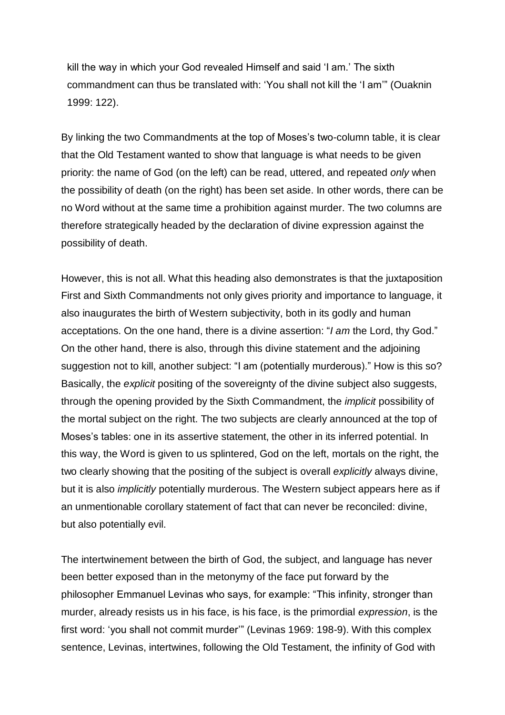kill the way in which your God revealed Himself and said 'I am.' The sixth commandment can thus be translated with: 'You shall not kill the 'I am'" (Ouaknin 1999: 122).

By linking the two Commandments at the top of Moses's two-column table, it is clear that the Old Testament wanted to show that language is what needs to be given priority: the name of God (on the left) can be read, uttered, and repeated *only* when the possibility of death (on the right) has been set aside. In other words, there can be no Word without at the same time a prohibition against murder. The two columns are therefore strategically headed by the declaration of divine expression against the possibility of death.

However, this is not all. What this heading also demonstrates is that the juxtaposition First and Sixth Commandments not only gives priority and importance to language, it also inaugurates the birth of Western subjectivity, both in its godly and human acceptations. On the one hand, there is a divine assertion: "*I am* the Lord, thy God." On the other hand, there is also, through this divine statement and the adjoining suggestion not to kill, another subject: "I am (potentially murderous)." How is this so? Basically, the *explicit* positing of the sovereignty of the divine subject also suggests, through the opening provided by the Sixth Commandment, the *implicit* possibility of the mortal subject on the right. The two subjects are clearly announced at the top of Moses's tables: one in its assertive statement, the other in its inferred potential. In this way, the Word is given to us splintered, God on the left, mortals on the right, the two clearly showing that the positing of the subject is overall *explicitly* always divine, but it is also *implicitly* potentially murderous. The Western subject appears here as if an unmentionable corollary statement of fact that can never be reconciled: divine, but also potentially evil.

The intertwinement between the birth of God, the subject, and language has never been better exposed than in the metonymy of the face put forward by the philosopher Emmanuel Levinas who says, for example: "This infinity, stronger than murder, already resists us in his face, is his face, is the primordial *expression*, is the first word: 'you shall not commit murder'" (Levinas 1969: 198-9). With this complex sentence, Levinas, intertwines, following the Old Testament, the infinity of God with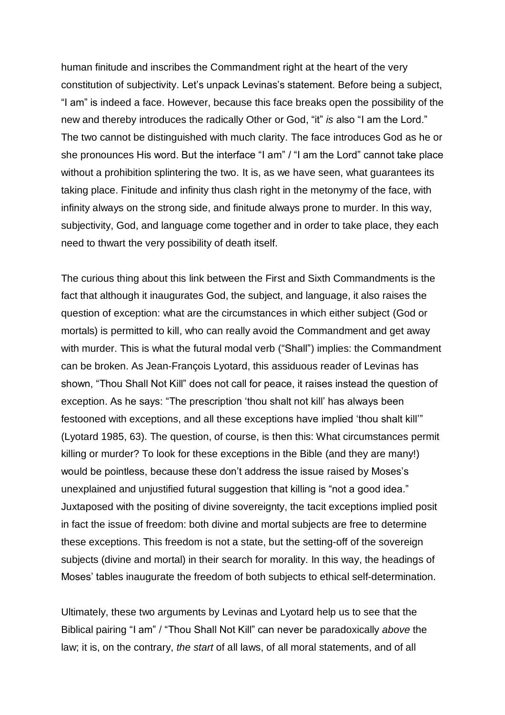human finitude and inscribes the Commandment right at the heart of the very constitution of subjectivity. Let's unpack Levinas's statement. Before being a subject, "I am" is indeed a face. However, because this face breaks open the possibility of the new and thereby introduces the radically Other or God, "it" *is* also "I am the Lord." The two cannot be distinguished with much clarity. The face introduces God as he or she pronounces His word. But the interface "I am" / "I am the Lord" cannot take place without a prohibition splintering the two. It is, as we have seen, what guarantees its taking place. Finitude and infinity thus clash right in the metonymy of the face, with infinity always on the strong side, and finitude always prone to murder. In this way, subjectivity, God, and language come together and in order to take place, they each need to thwart the very possibility of death itself.

The curious thing about this link between the First and Sixth Commandments is the fact that although it inaugurates God, the subject, and language, it also raises the question of exception: what are the circumstances in which either subject (God or mortals) is permitted to kill, who can really avoid the Commandment and get away with murder. This is what the futural modal verb ("Shall") implies: the Commandment can be broken. As Jean-François Lyotard, this assiduous reader of Levinas has shown, "Thou Shall Not Kill" does not call for peace, it raises instead the question of exception. As he says: "The prescription 'thou shalt not kill' has always been festooned with exceptions, and all these exceptions have implied 'thou shalt kill'" (Lyotard 1985, 63). The question, of course, is then this: What circumstances permit killing or murder? To look for these exceptions in the Bible (and they are many!) would be pointless, because these don't address the issue raised by Moses's unexplained and unjustified futural suggestion that killing is "not a good idea." Juxtaposed with the positing of divine sovereignty, the tacit exceptions implied posit in fact the issue of freedom: both divine and mortal subjects are free to determine these exceptions. This freedom is not a state, but the setting-off of the sovereign subjects (divine and mortal) in their search for morality. In this way, the headings of Moses' tables inaugurate the freedom of both subjects to ethical self-determination.

Ultimately, these two arguments by Levinas and Lyotard help us to see that the Biblical pairing "I am" / "Thou Shall Not Kill" can never be paradoxically *above* the law; it is, on the contrary, *the start* of all laws, of all moral statements, and of all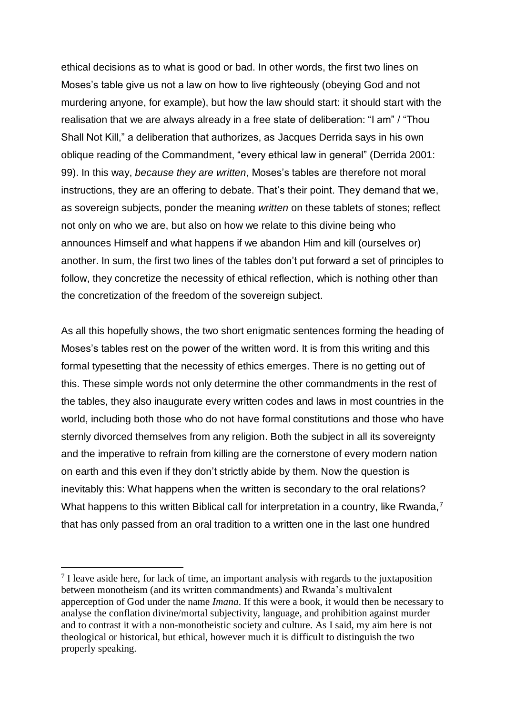ethical decisions as to what is good or bad. In other words, the first two lines on Moses's table give us not a law on how to live righteously (obeying God and not murdering anyone, for example), but how the law should start: it should start with the realisation that we are always already in a free state of deliberation: "I am" / "Thou Shall Not Kill," a deliberation that authorizes, as Jacques Derrida says in his own oblique reading of the Commandment, "every ethical law in general" (Derrida 2001: 99). In this way, *because they are written*, Moses's tables are therefore not moral instructions, they are an offering to debate. That's their point. They demand that we, as sovereign subjects, ponder the meaning *written* on these tablets of stones; reflect not only on who we are, but also on how we relate to this divine being who announces Himself and what happens if we abandon Him and kill (ourselves or) another. In sum, the first two lines of the tables don't put forward a set of principles to follow, they concretize the necessity of ethical reflection, which is nothing other than the concretization of the freedom of the sovereign subject.

As all this hopefully shows, the two short enigmatic sentences forming the heading of Moses's tables rest on the power of the written word. It is from this writing and this formal typesetting that the necessity of ethics emerges. There is no getting out of this. These simple words not only determine the other commandments in the rest of the tables, they also inaugurate every written codes and laws in most countries in the world, including both those who do not have formal constitutions and those who have sternly divorced themselves from any religion. Both the subject in all its sovereignty and the imperative to refrain from killing are the cornerstone of every modern nation on earth and this even if they don't strictly abide by them. Now the question is inevitably this: What happens when the written is secondary to the oral relations? What happens to this written Biblical call for interpretation in a country, like Rwanda,<sup>7</sup> that has only passed from an oral tradition to a written one in the last one hundred

 $<sup>7</sup>$  I leave aside here, for lack of time, an important analysis with regards to the juxtaposition</sup> between monotheism (and its written commandments) and Rwanda's multivalent apperception of God under the name *Imana*. If this were a book, it would then be necessary to analyse the conflation divine/mortal subjectivity, language, and prohibition against murder and to contrast it with a non-monotheistic society and culture. As I said, my aim here is not theological or historical, but ethical, however much it is difficult to distinguish the two properly speaking.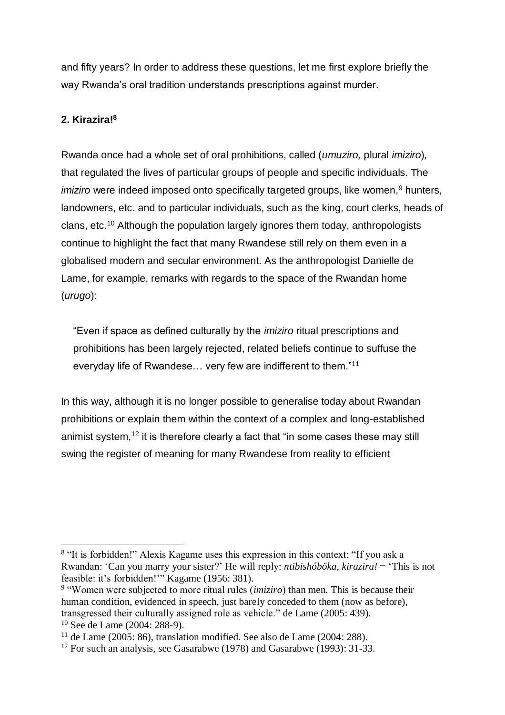and fifty years? In order to address these questions, let me first explore briefly the way Rwanda's oral tradition understands prescriptions against murder.

# **2. Kirazira!<sup>8</sup>**

 $\overline{a}$ 

Rwanda once had a whole set of oral prohibitions, called (*umuziro,* plural *imiziro*)*,* that regulated the lives of particular groups of people and specific individuals. The *imiziro* were indeed imposed onto specifically targeted groups, like women,<sup>9</sup> hunters, landowners, etc. and to particular individuals, such as the king, court clerks, heads of clans, etc.<sup>10</sup> Although the population largely ignores them today, anthropologists continue to highlight the fact that many Rwandese still rely on them even in a globalised modern and secular environment. As the anthropologist Danielle de Lame, for example, remarks with regards to the space of the Rwandan home (*urugo*):

"Even if space as defined culturally by the *imiziro* ritual prescriptions and prohibitions has been largely rejected, related beliefs continue to suffuse the everyday life of Rwandese… very few are indifferent to them."<sup>11</sup>

In this way, although it is no longer possible to generalise today about Rwandan prohibitions or explain them within the context of a complex and long-established animist system,  $12$  it is therefore clearly a fact that "in some cases these may still swing the register of meaning for many Rwandese from reality to efficient

<sup>&</sup>lt;sup>8</sup> "It is forbidden!" Alexis Kagame uses this expression in this context: "If you ask a Rwandan: 'Can you marry your sister?' He will reply: *ntibishóböka, kirazira!* = 'This is not feasible: it's forbidden!'" Kagame (1956: 381).

<sup>9</sup> "Women were subjected to more ritual rules (*imiziro*) than men. This is because their human condition, evidenced in speech, just barely conceded to them (now as before), transgressed their culturally assigned role as vehicle." de Lame (2005: 439). <sup>10</sup> See de Lame (2004: 288-9).

<sup>&</sup>lt;sup>11</sup> de Lame (2005: 86), translation modified. See also de Lame (2004: 288).

<sup>&</sup>lt;sup>12</sup> For such an analysis, see Gasarabwe (1978) and Gasarabwe (1993): 31-33.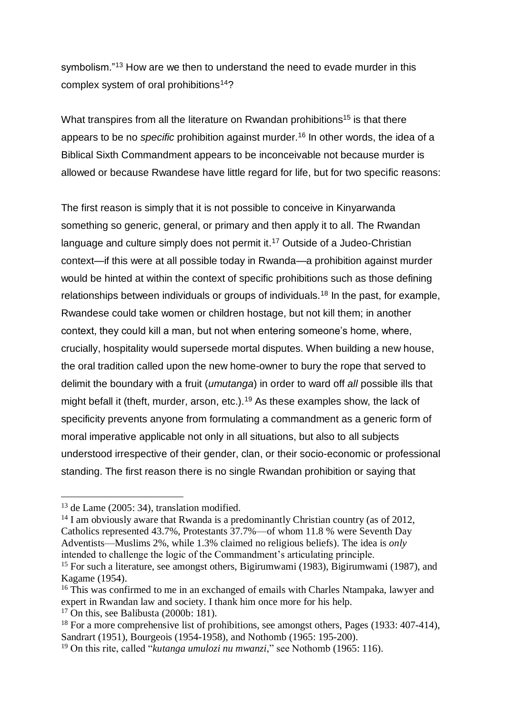symbolism."<sup>13</sup> How are we then to understand the need to evade murder in this complex system of oral prohibitions<sup>14</sup>?

What transpires from all the literature on Rwandan prohibitions<sup>15</sup> is that there appears to be no *specific* prohibition against murder.<sup>16</sup> In other words, the idea of a Biblical Sixth Commandment appears to be inconceivable not because murder is allowed or because Rwandese have little regard for life, but for two specific reasons:

The first reason is simply that it is not possible to conceive in Kinyarwanda something so generic, general, or primary and then apply it to all. The Rwandan language and culture simply does not permit it.<sup>17</sup> Outside of a Judeo-Christian context—if this were at all possible today in Rwanda—a prohibition against murder would be hinted at within the context of specific prohibitions such as those defining relationships between individuals or groups of individuals.<sup>18</sup> In the past, for example, Rwandese could take women or children hostage, but not kill them; in another context, they could kill a man, but not when entering someone's home, where, crucially, hospitality would supersede mortal disputes. When building a new house, the oral tradition called upon the new home-owner to bury the rope that served to delimit the boundary with a fruit (*umutanga*) in order to ward off *all* possible ills that might befall it (theft, murder, arson, etc.).<sup>19</sup> As these examples show, the lack of specificity prevents anyone from formulating a commandment as a generic form of moral imperative applicable not only in all situations, but also to all subjects understood irrespective of their gender, clan, or their socio-economic or professional standing. The first reason there is no single Rwandan prohibition or saying that

 $\overline{a}$ 

 $14$  I am obviously aware that Rwanda is a predominantly Christian country (as of 2012, Catholics represented 43.7%, Protestants 37.7%—of whom 11.8 % were Seventh Day Adventists—Muslims 2%, while 1.3% claimed no religious beliefs). The idea is *only* intended to challenge the logic of the Commandment's articulating principle.

 $13$  de Lame (2005: 34), translation modified.

<sup>&</sup>lt;sup>15</sup> For such a literature, see amongst others, Bigirumwami (1983), Bigirumwami (1987), and Kagame (1954).

<sup>&</sup>lt;sup>16</sup> This was confirmed to me in an exchanged of emails with Charles Ntampaka, lawyer and expert in Rwandan law and society. I thank him once more for his help.

 $17$  On this, see Balibusta (2000b: 181).

 $18$  For a more comprehensive list of prohibitions, see amongst others, Pages (1933: 407-414), Sandrart (1951), Bourgeois (1954-1958), and Nothomb (1965: 195-200).

<sup>19</sup> On this rite, called "*kutanga umulozi nu mwanzi*," see Nothomb (1965: 116).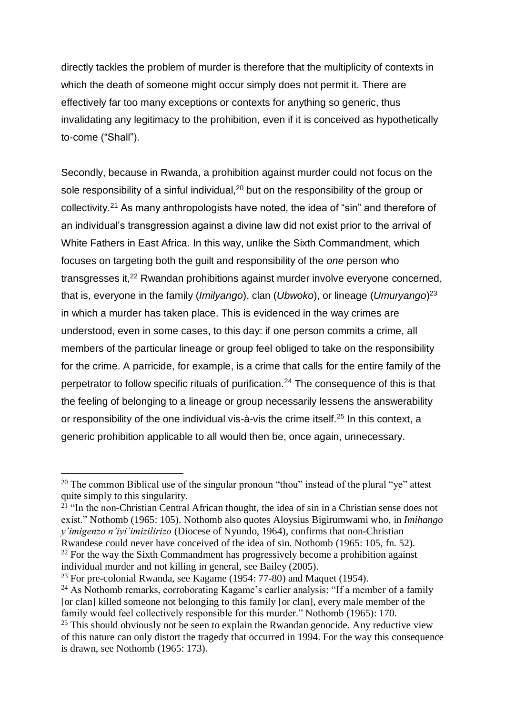directly tackles the problem of murder is therefore that the multiplicity of contexts in which the death of someone might occur simply does not permit it. There are effectively far too many exceptions or contexts for anything so generic, thus invalidating any legitimacy to the prohibition, even if it is conceived as hypothetically to-come ("Shall").

Secondly, because in Rwanda, a prohibition against murder could not focus on the sole responsibility of a sinful individual,<sup>20</sup> but on the responsibility of the group or collectivity.<sup>21</sup> As many anthropologists have noted, the idea of "sin" and therefore of an individual's transgression against a divine law did not exist prior to the arrival of White Fathers in East Africa. In this way, unlike the Sixth Commandment, which focuses on targeting both the guilt and responsibility of the *one* person who transgresses it,<sup>22</sup> Rwandan prohibitions against murder involve everyone concerned, that is, everyone in the family (*Imilyango*), clan (*Ubwoko*), or lineage (*Umuryango*) 23 in which a murder has taken place. This is evidenced in the way crimes are understood, even in some cases, to this day: if one person commits a crime, all members of the particular lineage or group feel obliged to take on the responsibility for the crime. A parricide, for example, is a crime that calls for the entire family of the perpetrator to follow specific rituals of purification.<sup>24</sup> The consequence of this is that the feeling of belonging to a lineage or group necessarily lessens the answerability or responsibility of the one individual vis-à-vis the crime itself.<sup>25</sup> In this context, a generic prohibition applicable to all would then be, once again, unnecessary.

<sup>&</sup>lt;sup>20</sup> The common Biblical use of the singular pronoun "thou" instead of the plural "ye" attest quite simply to this singularity.

 $^{21}$  "In the non-Christian Central African thought, the idea of sin in a Christian sense does not exist." Nothomb (1965: 105). Nothomb also quotes Aloysius Bigirumwami who, in *Imihango y'imigenzo n'iyi'imizilirizo* (Diocese of Nyundo, 1964), confirms that non-Christian Rwandese could never have conceived of the idea of sin. Nothomb (1965: 105, fn. 52).

 $22$  For the way the Sixth Commandment has progressively become a prohibition against individual murder and not killing in general, see Bailey (2005).

 $23$  For pre-colonial Rwanda, see Kagame (1954: 77-80) and Maquet (1954).

<sup>&</sup>lt;sup>24</sup> As Nothomb remarks, corroborating Kagame's earlier analysis: "If a member of a family [or clan] killed someone not belonging to this family [or clan], every male member of the family would feel collectively responsible for this murder." Nothomb (1965): 170.

 $25$  This should obviously not be seen to explain the Rwandan genocide. Any reductive view of this nature can only distort the tragedy that occurred in 1994. For the way this consequence is drawn, see Nothomb (1965: 173).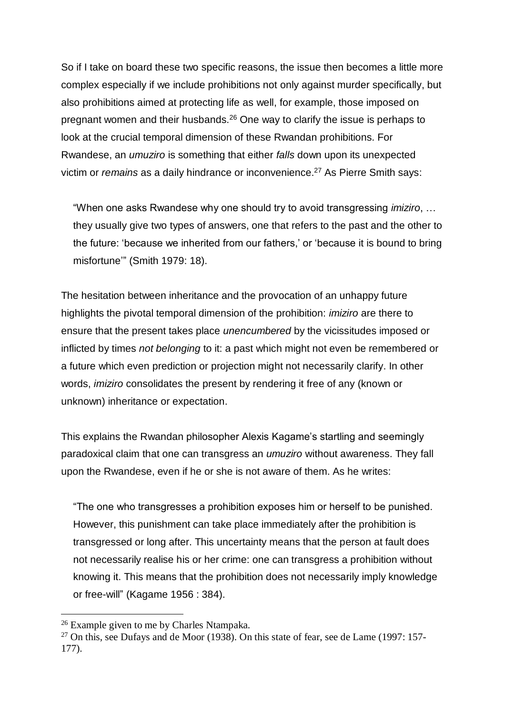So if I take on board these two specific reasons, the issue then becomes a little more complex especially if we include prohibitions not only against murder specifically, but also prohibitions aimed at protecting life as well, for example, those imposed on pregnant women and their husbands.<sup>26</sup> One way to clarify the issue is perhaps to look at the crucial temporal dimension of these Rwandan prohibitions. For Rwandese, an *umuziro* is something that either *falls* down upon its unexpected victim or *remains* as a daily hindrance or inconvenience.<sup>27</sup> As Pierre Smith says:

"When one asks Rwandese why one should try to avoid transgressing *imiziro*, … they usually give two types of answers, one that refers to the past and the other to the future: 'because we inherited from our fathers,' or 'because it is bound to bring misfortune'" (Smith 1979: 18).

The hesitation between inheritance and the provocation of an unhappy future highlights the pivotal temporal dimension of the prohibition: *imiziro* are there to ensure that the present takes place *unencumbered* by the vicissitudes imposed or inflicted by times *not belonging* to it: a past which might not even be remembered or a future which even prediction or projection might not necessarily clarify. In other words, *imiziro* consolidates the present by rendering it free of any (known or unknown) inheritance or expectation.

This explains the Rwandan philosopher Alexis Kagame's startling and seemingly paradoxical claim that one can transgress an *umuziro* without awareness. They fall upon the Rwandese, even if he or she is not aware of them. As he writes:

"The one who transgresses a prohibition exposes him or herself to be punished. However, this punishment can take place immediately after the prohibition is transgressed or long after. This uncertainty means that the person at fault does not necessarily realise his or her crime: one can transgress a prohibition without knowing it. This means that the prohibition does not necessarily imply knowledge or free-will" (Kagame 1956 : 384).

<sup>&</sup>lt;sup>26</sup> Example given to me by Charles Ntampaka.

 $27$  On this, see Dufays and de Moor (1938). On this state of fear, see de Lame (1997: 157-177).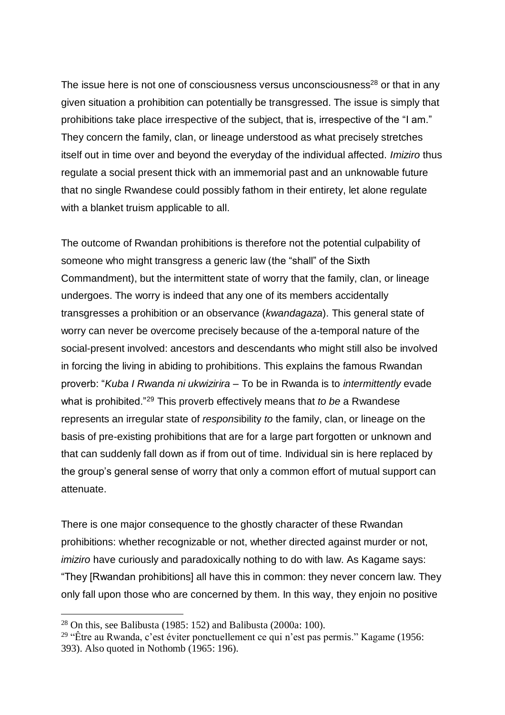The issue here is not one of consciousness versus unconsciousness<sup>28</sup> or that in any given situation a prohibition can potentially be transgressed. The issue is simply that prohibitions take place irrespective of the subject, that is, irrespective of the "I am." They concern the family, clan, or lineage understood as what precisely stretches itself out in time over and beyond the everyday of the individual affected. *Imiziro* thus regulate a social present thick with an immemorial past and an unknowable future that no single Rwandese could possibly fathom in their entirety, let alone regulate with a blanket truism applicable to all.

The outcome of Rwandan prohibitions is therefore not the potential culpability of someone who might transgress a generic law (the "shall" of the Sixth Commandment), but the intermittent state of worry that the family, clan, or lineage undergoes. The worry is indeed that any one of its members accidentally transgresses a prohibition or an observance (*kwandagaza*). This general state of worry can never be overcome precisely because of the a-temporal nature of the social-present involved: ancestors and descendants who might still also be involved in forcing the living in abiding to prohibitions. This explains the famous Rwandan proverb: "*Kuba I Rwanda ni ukwizirira* – To be in Rwanda is to *intermittently* evade what is prohibited."<sup>29</sup> This proverb effectively means that *to be* a Rwandese represents an irregular state of *respons*ibility *to* the family, clan, or lineage on the basis of pre-existing prohibitions that are for a large part forgotten or unknown and that can suddenly fall down as if from out of time. Individual sin is here replaced by the group's general sense of worry that only a common effort of mutual support can attenuate.

There is one major consequence to the ghostly character of these Rwandan prohibitions: whether recognizable or not, whether directed against murder or not, *imiziro* have curiously and paradoxically nothing to do with law. As Kagame says: "They [Rwandan prohibitions] all have this in common: they never concern law. They only fall upon those who are concerned by them. In this way, they enjoin no positive

 $28$  On this, see Balibusta (1985: 152) and Balibusta (2000a: 100).

<sup>&</sup>lt;sup>29</sup> "Être au Rwanda, c'est éviter ponctuellement ce qui n'est pas permis." Kagame (1956: 393). Also quoted in Nothomb (1965: 196).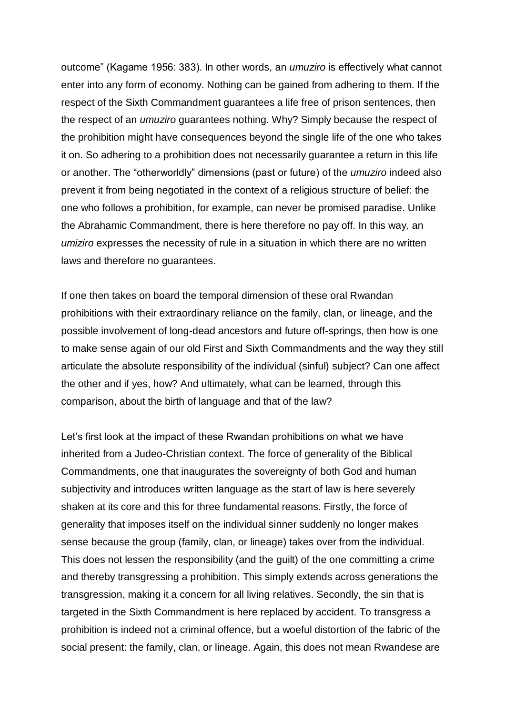outcome" (Kagame 1956: 383). In other words, an *umuziro* is effectively what cannot enter into any form of economy. Nothing can be gained from adhering to them. If the respect of the Sixth Commandment guarantees a life free of prison sentences, then the respect of an *umuziro* guarantees nothing. Why? Simply because the respect of the prohibition might have consequences beyond the single life of the one who takes it on. So adhering to a prohibition does not necessarily guarantee a return in this life or another. The "otherworldly" dimensions (past or future) of the *umuziro* indeed also prevent it from being negotiated in the context of a religious structure of belief: the one who follows a prohibition, for example, can never be promised paradise. Unlike the Abrahamic Commandment, there is here therefore no pay off. In this way, an *umiziro* expresses the necessity of rule in a situation in which there are no written laws and therefore no guarantees.

If one then takes on board the temporal dimension of these oral Rwandan prohibitions with their extraordinary reliance on the family, clan, or lineage, and the possible involvement of long-dead ancestors and future off-springs, then how is one to make sense again of our old First and Sixth Commandments and the way they still articulate the absolute responsibility of the individual (sinful) subject? Can one affect the other and if yes, how? And ultimately, what can be learned, through this comparison, about the birth of language and that of the law?

Let's first look at the impact of these Rwandan prohibitions on what we have inherited from a Judeo-Christian context. The force of generality of the Biblical Commandments, one that inaugurates the sovereignty of both God and human subjectivity and introduces written language as the start of law is here severely shaken at its core and this for three fundamental reasons. Firstly, the force of generality that imposes itself on the individual sinner suddenly no longer makes sense because the group (family, clan, or lineage) takes over from the individual. This does not lessen the responsibility (and the guilt) of the one committing a crime and thereby transgressing a prohibition. This simply extends across generations the transgression, making it a concern for all living relatives. Secondly, the sin that is targeted in the Sixth Commandment is here replaced by accident. To transgress a prohibition is indeed not a criminal offence, but a woeful distortion of the fabric of the social present: the family, clan, or lineage. Again, this does not mean Rwandese are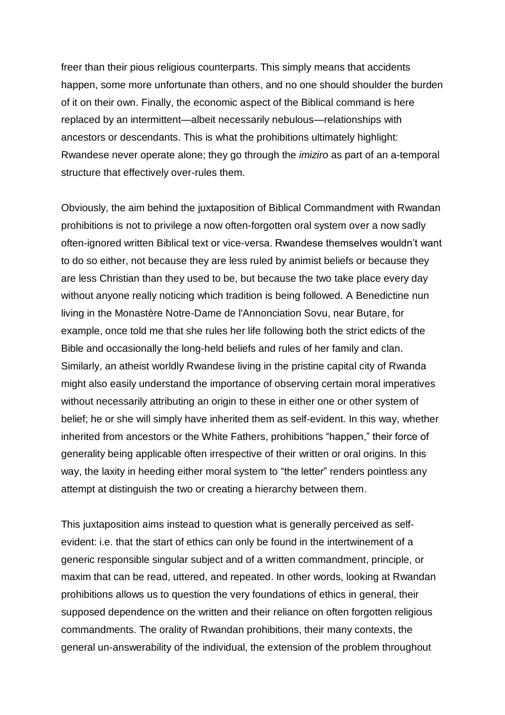freer than their pious religious counterparts. This simply means that accidents happen, some more unfortunate than others, and no one should shoulder the burden of it on their own. Finally, the economic aspect of the Biblical command is here replaced by an intermittent—albeit necessarily nebulous—relationships with ancestors or descendants. This is what the prohibitions ultimately highlight: Rwandese never operate alone; they go through the *imiziro* as part of an a-temporal structure that effectively over-rules them.

Obviously, the aim behind the juxtaposition of Biblical Commandment with Rwandan prohibitions is not to privilege a now often-forgotten oral system over a now sadly often-ignored written Biblical text or vice-versa. Rwandese themselves wouldn't want to do so either, not because they are less ruled by animist beliefs or because they are less Christian than they used to be, but because the two take place every day without anyone really noticing which tradition is being followed. A Benedictine nun living in the Monastère Notre-Dame de l'Annonciation Sovu, near Butare, for example, once told me that she rules her life following both the strict edicts of the Bible and occasionally the long-held beliefs and rules of her family and clan. Similarly, an atheist worldly Rwandese living in the pristine capital city of Rwanda might also easily understand the importance of observing certain moral imperatives without necessarily attributing an origin to these in either one or other system of belief; he or she will simply have inherited them as self-evident. In this way, whether inherited from ancestors or the White Fathers, prohibitions "happen," their force of generality being applicable often irrespective of their written or oral origins. In this way, the laxity in heeding either moral system to "the letter" renders pointless any attempt at distinguish the two or creating a hierarchy between them.

This juxtaposition aims instead to question what is generally perceived as selfevident: i.e. that the start of ethics can only be found in the intertwinement of a generic responsible singular subject and of a written commandment, principle, or maxim that can be read, uttered, and repeated. In other words, looking at Rwandan prohibitions allows us to question the very foundations of ethics in general, their supposed dependence on the written and their reliance on often forgotten religious commandments. The orality of Rwandan prohibitions, their many contexts, the general un-answerability of the individual, the extension of the problem throughout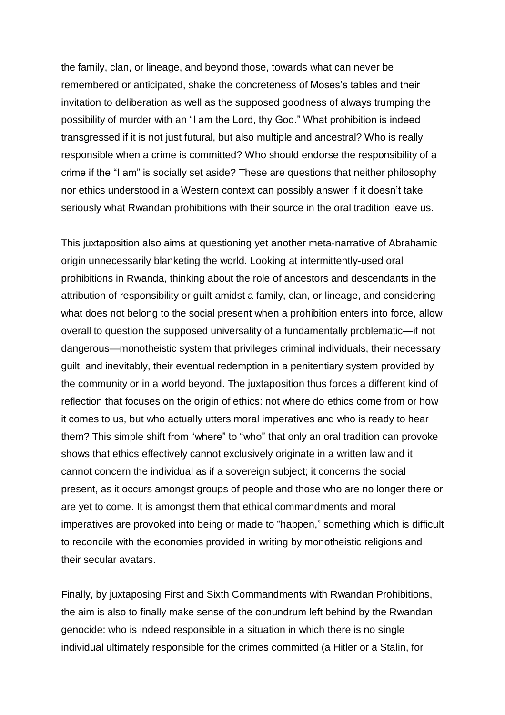the family, clan, or lineage, and beyond those, towards what can never be remembered or anticipated, shake the concreteness of Moses's tables and their invitation to deliberation as well as the supposed goodness of always trumping the possibility of murder with an "I am the Lord, thy God." What prohibition is indeed transgressed if it is not just futural, but also multiple and ancestral? Who is really responsible when a crime is committed? Who should endorse the responsibility of a crime if the "I am" is socially set aside? These are questions that neither philosophy nor ethics understood in a Western context can possibly answer if it doesn't take seriously what Rwandan prohibitions with their source in the oral tradition leave us.

This juxtaposition also aims at questioning yet another meta-narrative of Abrahamic origin unnecessarily blanketing the world. Looking at intermittently-used oral prohibitions in Rwanda, thinking about the role of ancestors and descendants in the attribution of responsibility or guilt amidst a family, clan, or lineage, and considering what does not belong to the social present when a prohibition enters into force, allow overall to question the supposed universality of a fundamentally problematic—if not dangerous—monotheistic system that privileges criminal individuals, their necessary guilt, and inevitably, their eventual redemption in a penitentiary system provided by the community or in a world beyond. The juxtaposition thus forces a different kind of reflection that focuses on the origin of ethics: not where do ethics come from or how it comes to us, but who actually utters moral imperatives and who is ready to hear them? This simple shift from "where" to "who" that only an oral tradition can provoke shows that ethics effectively cannot exclusively originate in a written law and it cannot concern the individual as if a sovereign subject; it concerns the social present, as it occurs amongst groups of people and those who are no longer there or are yet to come. It is amongst them that ethical commandments and moral imperatives are provoked into being or made to "happen," something which is difficult to reconcile with the economies provided in writing by monotheistic religions and their secular avatars.

Finally, by juxtaposing First and Sixth Commandments with Rwandan Prohibitions, the aim is also to finally make sense of the conundrum left behind by the Rwandan genocide: who is indeed responsible in a situation in which there is no single individual ultimately responsible for the crimes committed (a Hitler or a Stalin, for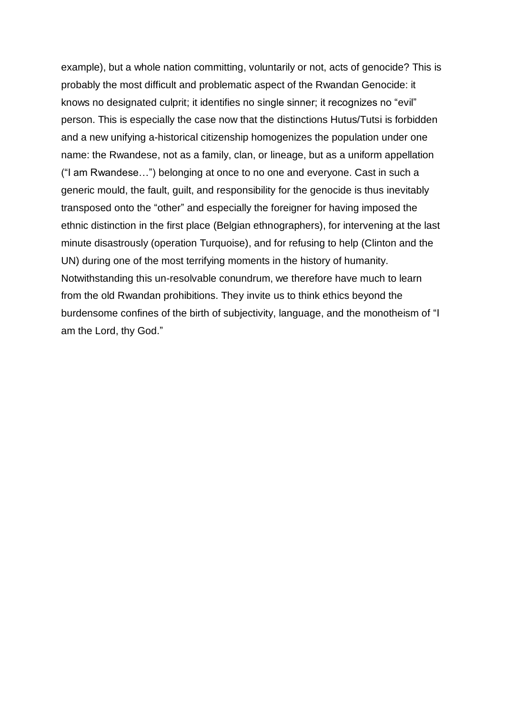example), but a whole nation committing, voluntarily or not, acts of genocide? This is probably the most difficult and problematic aspect of the Rwandan Genocide: it knows no designated culprit; it identifies no single sinner; it recognizes no "evil" person. This is especially the case now that the distinctions Hutus/Tutsi is forbidden and a new unifying a-historical citizenship homogenizes the population under one name: the Rwandese, not as a family, clan, or lineage, but as a uniform appellation ("I am Rwandese…") belonging at once to no one and everyone. Cast in such a generic mould, the fault, guilt, and responsibility for the genocide is thus inevitably transposed onto the "other" and especially the foreigner for having imposed the ethnic distinction in the first place (Belgian ethnographers), for intervening at the last minute disastrously (operation Turquoise), and for refusing to help (Clinton and the UN) during one of the most terrifying moments in the history of humanity. Notwithstanding this un-resolvable conundrum, we therefore have much to learn from the old Rwandan prohibitions. They invite us to think ethics beyond the burdensome confines of the birth of subjectivity, language, and the monotheism of "I am the Lord, thy God."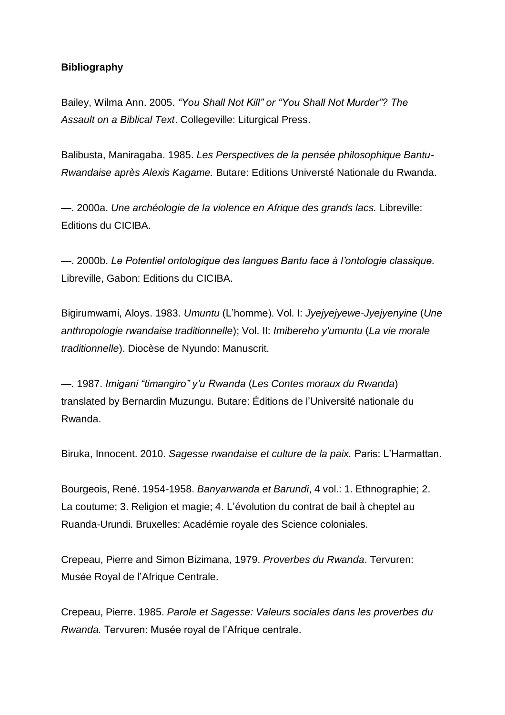#### **Bibliography**

Bailey, Wilma Ann. 2005. *"You Shall Not Kill" or "You Shall Not Murder"? The Assault on a Biblical Text*. Collegeville: Liturgical Press.

Balibusta, Maniragaba. 1985. *Les Perspectives de la pensée philosophique Bantu-Rwandaise après Alexis Kagame.* Butare: Editions Universté Nationale du Rwanda.

—. 2000a. *Une archéologie de la violence en Afrique des grands lacs.* Libreville: Editions du CICIBA.

—. 2000b. *Le Potentiel ontologique des langues Bantu face à l'ontologie classique.*  Libreville, Gabon: Editions du CICIBA.

Bigirumwami, Aloys. 1983. *Umuntu* (L'homme). Vol. I: *Jyejyejyewe-Jyejyenyine* (*Une anthropologie rwandaise traditionnelle*); Vol. II: *Imibereho y'umuntu* (*La vie morale traditionnelle*). Diocèse de Nyundo: Manuscrit.

—. 1987. *Imigani "timangiro" y'u Rwanda* (*Les Contes moraux du Rwanda*) translated by Bernardin Muzungu. Butare: Éditions de l'Université nationale du Rwanda.

Biruka, Innocent. 2010. *Sagesse rwandaise et culture de la paix.* Paris: L'Harmattan.

Bourgeois, René. 1954-1958. *Banyarwanda et Barundi*, 4 vol.: 1. Ethnographie; 2. La coutume; 3. Religion et magie; 4. L'évolution du contrat de bail à cheptel au Ruanda-Urundi. Bruxelles: Académie royale des Science coloniales.

Crepeau, Pierre and Simon Bizimana, 1979. *Proverbes du Rwanda*. Tervuren: Musée Royal de l'Afrique Centrale.

Crepeau, Pierre. 1985. *Parole et Sagesse: Valeurs sociales dans les proverbes du Rwanda.* Tervuren: Musée royal de l'Afrique centrale.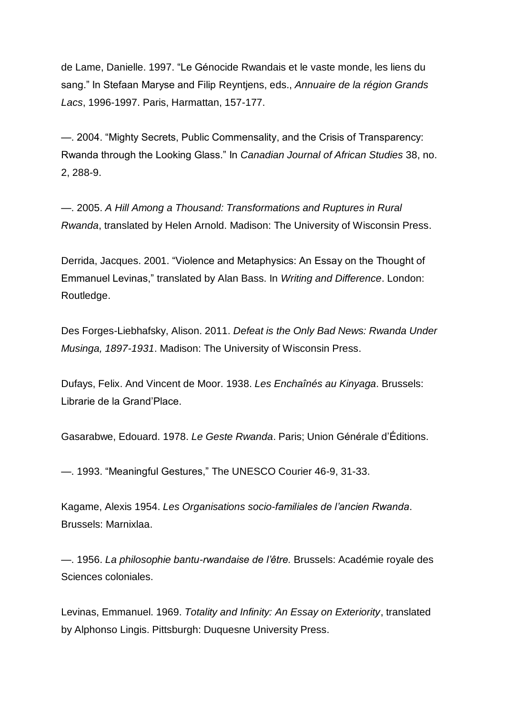de Lame, Danielle. 1997. "Le Génocide Rwandais et le vaste monde, les liens du sang." In Stefaan Maryse and Filip Reyntjens, eds., *Annuaire de la région Grands Lacs*, 1996-1997. Paris, Harmattan, 157-177.

—. 2004. "Mighty Secrets, Public Commensality, and the Crisis of Transparency: Rwanda through the Looking Glass." In *Canadian Journal of African Studies* 38, no. 2, 288-9.

—. 2005. *A Hill Among a Thousand: Transformations and Ruptures in Rural Rwanda*, translated by Helen Arnold. Madison: The University of Wisconsin Press.

Derrida, Jacques. 2001. "Violence and Metaphysics: An Essay on the Thought of Emmanuel Levinas," translated by Alan Bass. In *Writing and Difference*. London: Routledge.

Des Forges-Liebhafsky, Alison. 2011. *Defeat is the Only Bad News: Rwanda Under Musinga, 1897-1931*. Madison: The University of Wisconsin Press.

Dufays, Felix. And Vincent de Moor. 1938. *Les Enchaînés au Kinyaga*. Brussels: Librarie de la Grand'Place.

Gasarabwe, Edouard. 1978. *Le Geste Rwanda*. Paris; Union Générale d'Éditions.

—. 1993. "Meaningful Gestures," The UNESCO Courier 46-9, 31-33.

Kagame, Alexis 1954. *Les Organisations socio-familiales de l'ancien Rwanda*. Brussels: Marnixlaa.

—. 1956. *La philosophie bantu-rwandaise de l'être.* Brussels: Académie royale des Sciences coloniales.

Levinas, Emmanuel. 1969. *Totality and Infinity: An Essay on Exteriority*, translated by Alphonso Lingis. Pittsburgh: Duquesne University Press.